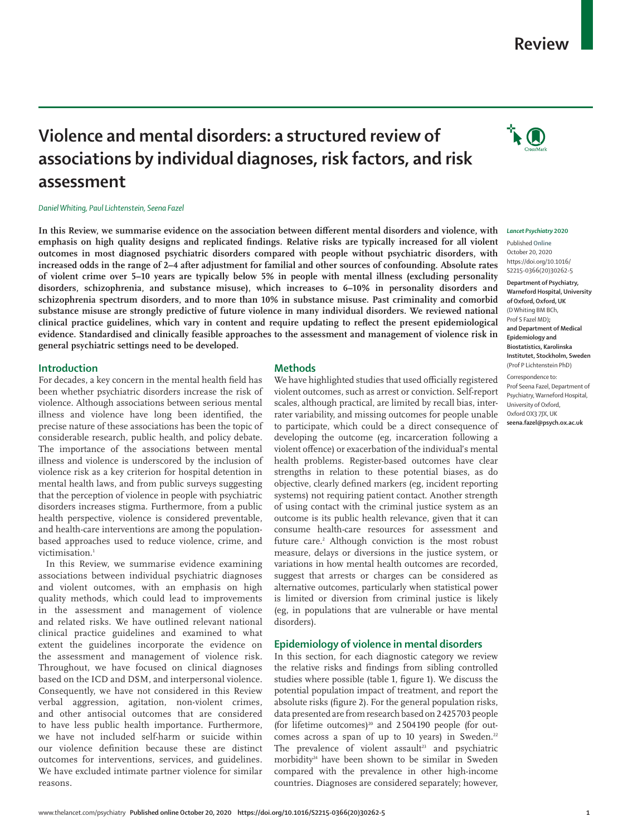# **Review**

#### *Lancet Psychiatry* **2020**

Published **Online** October 20, 2020 https://doi.org/10.1016/ S2215-0366(20)30262-5 **Department of Psychiatry, Warneford Hospital, University of Oxford, Oxford, UK** (D Whiting BM BCh, Prof S Fazel MD)**; and Department of Medical Epidemiology and Biostatistics, Karolinska Institutet, Stockholm, Sweden** (Prof P Lichtenstein PhD) Correspondence to:

Prof Seena Fazel, Department of Psychiatry, Warneford Hospital, University of Oxford, Oxford OX3 7JX, UK **seena.fazel@psych.ox.ac.uk**

**Violence and mental disorders: a structured review of associations by individual diagnoses, risk factors, and risk assessment**

*Daniel Whiting, Paul Lichtenstein, Seena Fazel*

**In this Review, we summarise evidence on the association between different mental disorders and violence, with emphasis on high quality designs and replicated findings. Relative risks are typically increased for all violent outcomes in most diagnosed psychiatric disorders compared with people without psychiatric disorders, with increased odds in the range of 2–4 after adjustment for familial and other sources of confounding. Absolute rates of violent crime over 5–10 years are typically below 5% in people with mental illness (excluding personality disorders, schizophrenia, and substance misuse), which increases to 6–10% in personality disorders and schizophrenia spectrum disorders, and to more than 10% in substance misuse. Past criminality and comorbid substance misuse are strongly predictive of future violence in many individual disorders. We reviewed national clinical practice guidelines, which vary in content and require updating to reflect the present epidemiological evidence. Standardised and clinically feasible approaches to the assessment and management of violence risk in general psychiatric settings need to be developed.**

### **Introduction**

For decades, a key concern in the mental health field has been whether psychiatric disorders increase the risk of violence. Although associations between serious mental illness and violence have long been identified, the precise nature of these associations has been the topic of considerable research, public health, and policy debate. The importance of the associations between mental illness and violence is underscored by the inclusion of violence risk as a key criterion for hospital detention in mental health laws, and from public surveys suggesting that the perception of violence in people with psychiatric disorders increases stigma. Furthermore, from a public health perspective, violence is considered preventable, and health-care interventions are among the populationbased approaches used to reduce violence, crime, and victimisation.<sup>1</sup>

In this Review, we summarise evidence examining associations between individual psychiatric diagnoses and violent outcomes, with an emphasis on high quality methods, which could lead to improvements in the assessment and management of violence and related risks. We have outlined relevant national clinical practice guidelines and examined to what extent the guidelines incorporate the evidence on the assessment and management of violence risk. Throughout, we have focused on clinical diagnoses based on the ICD and DSM, and interpersonal violence. Consequently, we have not considered in this Review verbal aggression, agitation, non-violent crimes, and other antisocial outcomes that are considered to have less public health importance. Furthermore, we have not included self-harm or suicide within our violence definition because these are distinct outcomes for interventions, services, and guidelines. We have excluded intimate partner violence for similar reasons.

### **Methods**

We have highlighted studies that used officially registered violent outcomes, such as arrest or conviction. Self-report scales, although practical, are limited by recall bias, interrater variability, and missing outcomes for people unable to participate, which could be a direct consequence of developing the outcome (eg, incarceration following a violent offence) or exacerbation of the individual's mental health problems. Register-based outcomes have clear strengths in relation to these potential biases, as do objective, clearly defined markers (eg, incident reporting systems) not requiring patient contact. Another strength of using contact with the criminal justice system as an outcome is its public health relevance, given that it can consume health-care resources for assessment and future care.<sup>2</sup> Although conviction is the most robust measure, delays or diversions in the justice system, or variations in how mental health outcomes are recorded, suggest that arrests or charges can be considered as alternative outcomes, particularly when statistical power is limited or diversion from criminal justice is likely (eg, in populations that are vulnerable or have mental disorders).

# **Epidemiology of violence in mental disorders**

In this section, for each diagnostic category we review the relative risks and findings from sibling controlled studies where possible (table 1, figure 1). We discuss the potential population impact of treatment, and report the absolute risks (figure 2). For the general population risks, data presented are from research based on 2 425 703 people (for lifetime outcomes)<sup>20</sup> and 2504190 people (for outcomes across a span of up to 10 years) in Sweden.<sup>22</sup> The prevalence of violent assault<sup>23</sup> and psychiatric morbidity<sup>24</sup> have been shown to be similar in Sweden compared with the prevalence in other high-income countries**.** Diagnoses are considered separately; however,

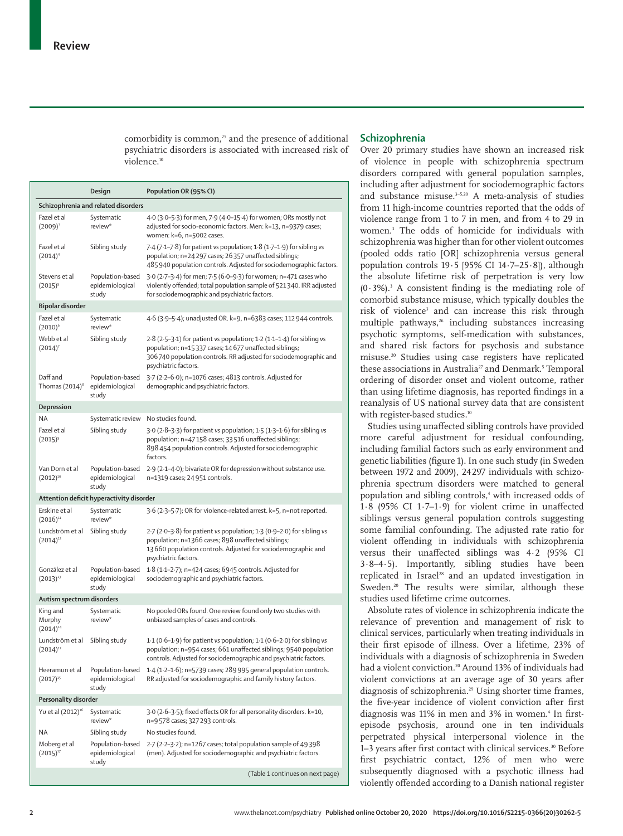comorbidity is common, $25$  and the presence of additional psychiatric disorders is associated with increased risk of violence.<sup>10</sup>

#### **Design Population OR (95% CI) Schizophrenia and related disorders** Fazel et al  $(2009)^3$ Systematic review\* 4·0 (3·0–5·3) for men, 7·9 (4·0–15·4) for women; ORs mostly not adjusted for socio-economic factors. Men: k=13, n=9379 cases; women: k=6, n=5002 cases. Fazel et al  $(2014)^4$ Sibling study 7·4 (7·1–7·8) for patient *vs* population; 1·8 (1·7–1·9) for sibling *vs* population; n=24 297 cases; 26 357 unaffected siblings; 485 940 population controls. Adjusted for sociodemographic factors. Stevens et al  $(2015)^5$ Population-based epidemiological study 3·0 (2·7–3·4) for men; 7·5 (6·0–9·3) for women; n=471 cases who violently offended; total population sample of 521 340. IRR adjusted for sociodemographic and psychiatric factors. **Bipolar disorder** Fazel et al  $(2010)^6$ Systematic review\* 4·6 (3·9–5·4); unadjusted OR. k=9, n=6383 cases; 112 944 controls. Webb et al  $(2014)^7$ Sibling study 2·8 (2·5–3·1) for patient *vs* population; 1·2 (1·1–1·4) for sibling *vs* population; n=15 337 cases; 14 677 unaffected siblings; 306 740 population controls. RR adjusted for sociodemographic and psychiatric factors. Daff and Thomas (2014) $8$ Population-based epidemiological stud<sub>y</sub> 3·7 (2·2–6·0); n=1076 cases; 4813 controls. Adjusted for demographic and psychiatric factors. **Depression** NA Systematic review No studies found. Fazel et al  $(2015)^9$ Sibling study 3·0 (2·8–3·3) for patient *vs* population; 1·5 (1·3–1·6) for sibling *vs* population; n=47 158 cases; 33 516 unaffected siblings; 898 454 population controls. Adjusted for sociodemographic factors. Van Dorn et al  $(2012)^{10}$ Population-based 2·9 (2·1–4·0); bivariate OR for depression without substance use. epidemiological study n=1319 cases; 24 951 controls. **Attention deficit hyperactivity disorder** Erskine et al  $(2016)^{11}$ Systematic review\* 3·6 (2·3–5·7); OR for violence-related arrest. k=5, n=not reported. Lundström et al  $(2014)^{12}$ Sibling study 2·7 (2·0–3·8) for patient *vs* population; 1·3 (0·9–2·0) for sibling *vs* population; n=1366 cases; 898 unaffected siblings; 13 660 population controls. Adjusted for sociodemographic and psychiatric factors. González et al  $(2013)^{13}$ Population-based 1·8 (1·1–2·7); n=424 cases; 6945 controls. Adjusted for epidemiological study sociodemographic and psychiatric factors. **Autism spectrum disorders** King and Murphy  $(2014)^{14}$ Systematic review\* No pooled ORs found. One review found only two studies with unbiased samples of cases and controls. Lundström et al  $(2014)^{12}$ Sibling study 1·1 (0·6–1·9) for patient *vs* population; 1·1 (0·6–2·0) for sibling *vs* population; n=954 cases; 661 unaffected siblings; 9540 population controls. Adjusted for sociodemographic and psychiatric factors. Heeramun et al  $(2017)^1$ Population-based epidemiological study 1·4 (1·2–1·6); n=5739 cases; 289 995 general population controls. RR adjusted for sociodemographic and family history factors. **Personality disorder** Yu et al (2012)<sup>16</sup> Systematic review\* 3·0 (2·6–3·5); fixed effects OR for all personality disorders. k=10, n=9 578 cases; 327 293 controls. NA Sibling study No studies found. Moberg et al  $(2015)^{1}$ Population-based epidemiological study 2·7 (2·2–3·2); n=1267 cases; total population sample of 49 398 (men). Adjusted for sociodemographic and psychiatric factors. (Table 1 continues on next page)

### **Schizophrenia**

Over 20 primary studies have shown an increased risk of violence in people with schizophrenia spectrum disorders compared with general population samples, including after adjustment for sociodemographic factors and substance misuse.<sup>3-5,20</sup> A meta-analysis of studies from 11 high-income countries reported that the odds of violence range from 1 to 7 in men, and from 4 to 29 in women.<sup>3</sup> The odds of homicide for individuals with schizophrenia was higher than for other violent outcomes (pooled odds ratio [OR] schizophrenia versus general population controls 19·5 [95% CI 14·7–25·8]), although the absolute lifetime risk of perpetration is very low  $(0.3\%)$ .<sup>3</sup> A consistent finding is the mediating role of comorbid substance misuse, which typically doubles the risk of violence<sup>3</sup> and can increase this risk through multiple pathways,<sup>26</sup> including substances increasing psychotic symptoms, self-medication with substances, and shared risk factors for psychosis and substance misuse.20 Studies using case registers have replicated these associations in Australia<sup>27</sup> and Denmark.<sup>5</sup> Temporal ordering of disorder onset and violent outcome, rather than using lifetime diagnosis, has reported findings in a reanalysis of US national survey data that are consistent with register-based studies.<sup>10</sup>

Studies using unaffected sibling controls have provided more careful adjustment for residual confounding, including familial factors such as early environment and genetic liabilities (figure 1). In one such study (in Sweden between 1972 and 2009), 24 297 individuals with schizophrenia spectrum disorders were matched to general population and sibling controls,<sup>4</sup> with increased odds of 1·8 (95% CI 1·7–1·9) for violent crime in unaffected siblings versus general population controls suggesting some familial confounding. The adjusted rate ratio for violent offending in individuals with schizophrenia versus their unaffected siblings was 4·2 (95% CI 3·8–4·5). Importantly, sibling studies have been replicated in Israel<sup>28</sup> and an updated investigation in Sweden.<sup>20</sup> The results were similar, although these studies used lifetime crime outcomes.

Absolute rates of violence in schizophrenia indicate the relevance of prevention and management of risk to clinical services, particularly when treating individuals in their first episode of illness. Over a lifetime, 23% of individuals with a diagnosis of schizophrenia in Sweden had a violent conviction.<sup>20</sup> Around 13% of individuals had violent convictions at an average age of 30 years after diagnosis of schizophrenia.<sup>29</sup> Using shorter time frames, the five-year incidence of violent conviction after first diagnosis was 11% in men and 3% in women.<sup>4</sup> In firstepisode psychosis, around one in ten individuals perpetrated physical interpersonal violence in the 1-3 years after first contact with clinical services.<sup>30</sup> Before first psychiatric contact, 12% of men who were subsequently diagnosed with a psychotic illness had violently offended according to a Danish national register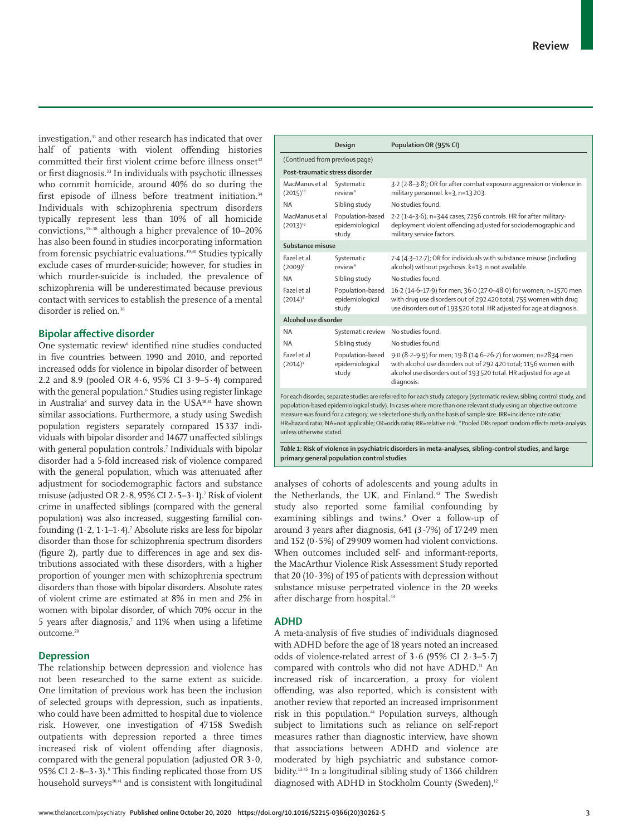investigation,<sup>31</sup> and other research has indicated that over half of patients with violent offending histories committed their first violent crime before illness onset<sup>32</sup> or first diagnosis.33 In individuals with psychotic illnesses who commit homicide, around 40% do so during the first episode of illness before treatment initiation.<sup>34</sup> Individuals with schizophrenia spectrum disorders typically represent less than 10% of all homicide convictions,35–38 although a higher prevalence of 10–20% has also been found in studies incorporating information from forensic psychiatric evaluations.<sup>39,40</sup> Studies typically exclude cases of murder-suicide; however, for studies in which murder-suicide is included, the prevalence of schizophrenia will be underestimated because previous contact with services to establish the presence of a mental disorder is relied on.<sup>36</sup>

# **Bipolar affective disorder**

One systematic review<sup>6</sup> identified nine studies conducted in five countries between 1990 and 2010, and reported increased odds for violence in bipolar disorder of between 2.2 and 8.9 (pooled OR 4·6, 95% CI 3·9–5·4) compared with the general population.<sup>6</sup> Studies using register linkage in Australia<sup>8</sup> and survey data in the USA**10,41** have shown similar associations. Furthermore, a study using Swedish population registers separately compared 15 337 individuals with bipolar disorder and 14 677 unaffected siblings with general population controls.<sup>7</sup> Individuals with bipolar disorder had a 5-fold increased risk of violence compared with the general population, which was attenuated after adjustment for sociodemographic factors and substance misuse (adjusted OR 2·8, 95% CI 2·5–3·1).<sup>7</sup> Risk of violent crime in unaffected siblings (compared with the general population) was also increased, suggesting familial confounding  $(1\cdot 2, 1\cdot 1\cdot 1\cdot 4)$ .' Absolute risks are less for bipolar disorder than those for schizophrenia spectrum disorders (figure 2), partly due to differences in age and sex distributions associated with these disorders, with a higher proportion of younger men with schizophrenia spectrum disorders than those with bipolar disorders. Absolute rates of violent crime are estimated at 8% in men and 2% in women with bipolar disorder, of which 70% occur in the 5 years after diagnosis, $\delta$  and 11% when using a lifetime outcome.<sup>20</sup>

### **Depression**

The relationship between depression and violence has not been researched to the same extent as suicide. One limitation of previous work has been the inclusion of selected groups with depression, such as inpatients, who could have been admitted to hospital due to violence risk. However, one investigation of 47 158 Swedish outpatients with depression reported a three times increased risk of violent offending after diagnosis, compared with the general population (adjusted OR 3·0, 95% CI 2·8–3**·**3).<sup>9</sup> This finding replicated those from US household surveys<sup>10,41</sup> and is consistent with longitudinal

|                                                                                                                                                                                                                                                                                                                                                                                                                                                                                                                     | Design                                       | Population OR (95% CI)                                                                                                                                                                                                |  |  |  |
|---------------------------------------------------------------------------------------------------------------------------------------------------------------------------------------------------------------------------------------------------------------------------------------------------------------------------------------------------------------------------------------------------------------------------------------------------------------------------------------------------------------------|----------------------------------------------|-----------------------------------------------------------------------------------------------------------------------------------------------------------------------------------------------------------------------|--|--|--|
| (Continued from previous page)                                                                                                                                                                                                                                                                                                                                                                                                                                                                                      |                                              |                                                                                                                                                                                                                       |  |  |  |
| Post-traumatic stress disorder                                                                                                                                                                                                                                                                                                                                                                                                                                                                                      |                                              |                                                                                                                                                                                                                       |  |  |  |
| MacManus et al<br>$(2015)^{18}$                                                                                                                                                                                                                                                                                                                                                                                                                                                                                     | Systematic<br>review*                        | 3.2 (2.8-3.8); OR for after combat exposure aggression or violence in<br>military personnel. k=3, n=13 203.                                                                                                           |  |  |  |
| <b>NA</b>                                                                                                                                                                                                                                                                                                                                                                                                                                                                                                           | Sibling study                                | No studies found.                                                                                                                                                                                                     |  |  |  |
| MacManus et al<br>$(2013)^{19}$                                                                                                                                                                                                                                                                                                                                                                                                                                                                                     | Population-based<br>epidemiological<br>study | 2.2 (1.4-3.6); n=344 cases; 7256 controls. HR for after military-<br>deployment violent offending adjusted for sociodemographic and<br>military service factors.                                                      |  |  |  |
| Substance misuse                                                                                                                                                                                                                                                                                                                                                                                                                                                                                                    |                                              |                                                                                                                                                                                                                       |  |  |  |
| Fazel et al<br>$(2009)^3$                                                                                                                                                                                                                                                                                                                                                                                                                                                                                           | Systematic<br>review*                        | 7.4 (4.3-12.7); OR for individuals with substance misuse (including<br>alcohol) without psychosis. k=13. n not available.                                                                                             |  |  |  |
| <b>NA</b>                                                                                                                                                                                                                                                                                                                                                                                                                                                                                                           | Sibling study                                | No studies found.                                                                                                                                                                                                     |  |  |  |
| Fazel et al<br>$(2014)^4$                                                                                                                                                                                                                                                                                                                                                                                                                                                                                           | Population-based<br>epidemiological<br>study | 16.2 (14.6-17.9) for men; 36.0 (27.0-48.0) for women; n=1570 men<br>with drug use disorders out of 292 420 total; 755 women with drug<br>use disorders out of 193 520 total. HR adjusted for age at diagnosis.        |  |  |  |
| Alcohol use disorder                                                                                                                                                                                                                                                                                                                                                                                                                                                                                                |                                              |                                                                                                                                                                                                                       |  |  |  |
| <b>NA</b>                                                                                                                                                                                                                                                                                                                                                                                                                                                                                                           | Systematic review                            | No studies found.                                                                                                                                                                                                     |  |  |  |
| <b>NA</b>                                                                                                                                                                                                                                                                                                                                                                                                                                                                                                           | Sibling study                                | No studies found.                                                                                                                                                                                                     |  |  |  |
| Fazel et al<br>$(2014)^4$                                                                                                                                                                                                                                                                                                                                                                                                                                                                                           | Population-based<br>epidemiological<br>study | 9.0 (8.2-9.9) for men; 19.8 (14.6-26.7) for women; n=2834 men<br>with alcohol use disorders out of 292 420 total; 1156 women with<br>alcohol use disorders out of 193 520 total. HR adjusted for age at<br>diagnosis. |  |  |  |
| For each disorder, separate studies are referred to for each study category (systematic review, sibling control study, and<br>population-based epidemiological study). In cases where more than one relevant study using an objective outcome<br>measure was found for a category, we selected one study on the basis of sample size. IRR=incidence rate ratio;<br>HR=hazard ratio; NA=not applicable; OR=odds ratio; RR=relative risk. *Pooled ORs report random effects meta-analysis<br>unless otherwise stated. |                                              |                                                                                                                                                                                                                       |  |  |  |

*Table 1:* **Risk of violence in psychiatric disorders in meta-analyses, sibling-control studies, and large primary general population control studies**

analyses of cohorts of adolescents and young adults in the Netherlands, the UK, and Finland.<sup>42</sup> The Swedish study also reported some familial confounding by examining siblings and twins.<sup>9</sup> Over a follow-up of around 3 years after diagnosis, 641 (3·7%) of 17 249 men and 152 (0·5%) of 29 909 women had violent convictions. When outcomes included self- and informant-reports, the MacArthur Violence Risk Assessment Study reported that 20  $(10.3\%)$  of 195 of patients with depression without substance misuse perpetrated violence in the 20 weeks after discharge from hospital.<sup>43</sup>

### **ADHD**

A meta-analysis of five studies of individuals diagnosed with ADHD before the age of 18 years noted an increased odds of violence-related arrest of 3·6 (95% CI 2·3–5·7) compared with controls who did not have ADHD.<sup>11</sup> An increased risk of incarceration, a proxy for violent offending, was also reported, which is consistent with another review that reported an increased imprisonment risk in this population.<sup>44</sup> Population surveys, although subject to limitations such as reliance on self-report measures rather than diagnostic interview, have shown that associations between ADHD and violence are moderated by high psychiatric and substance comorbidity.13,45 In a longitudinal sibling study of 1366 children diagnosed with ADHD in Stockholm County (Sweden),<sup>12</sup>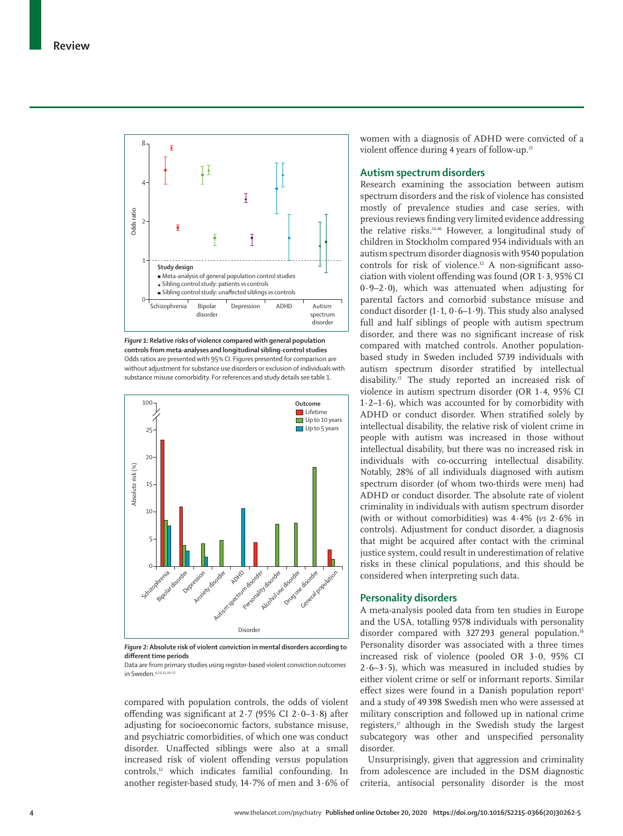

*Figure 1:* **Relative risks of violence compared with general population controls from meta-analyses and longitudinal sibling-control studies** Odds ratios are presented with 95% CI. Figures presented for comparison are without adjustment for substance use disorders or exclusion of individuals with substance misuse comorbidity. For references and study details see table 1.



*Figure 2:* **Absolute risk of violent conviction in mental disorders according to different time periods**

Data are from primary studies using register-based violent conviction outcomes in Sweden.<sup>4,7,9,15</sup>

compared with population controls, the odds of violent offending was significant at 2·7 (95% CI 2·0–3·8) after adjusting for socioeconomic factors, substance misuse, and psychiatric comorbidities, of which one was conduct disorder. Unaffected siblings were also at a small increased risk of violent offending versus population controls,12 which indicates familial confounding. In another register-based study, 14·7% of men and 3·6% of women with a diagnosis of ADHD were convicted of a violent offence during 4 years of follow-up.<sup>21</sup>

# **Autism spectrum disorders**

Research examining the association between autism spectrum disorders and the risk of violence has consisted mostly of prevalence studies and case series, with previous reviews finding very limited evidence addressing the relative risks.14,46 However, a longitudinal study of children in Stockholm compared 954 individuals with an autism spectrum disorder diagnosis with 9540 population controls for risk of violence.12 A non-significant association with violent offending was found (OR 1·3, 95% CI 0·9–2·0), which was attenuated when adjusting for parental factors and comorbid substance misuse and conduct disorder  $(1.1, 0.6-1.9)$ . This study also analysed full and half siblings of people with autism spectrum disorder, and there was no significant increase of risk compared with matched controls. Another populationbased study in Sweden included 5739 individuals with autism spectrum disorder stratified by intellectual disability.15 The study reported an increased risk of violence in autism spectrum disorder (OR 1·4, 95% CI  $1·2–1·6$ ), which was accounted for by comorbidity with ADHD or conduct disorder. When stratified solely by intellectual disability, the relative risk of violent crime in people with autism was increased in those without intellectual disability, but there was no increased risk in individuals with co-occurring intellectual disability. Notably, 28% of all individuals diagnosed with autism spectrum disorder (of whom two-thirds were men) had ADHD or conduct disorder. The absolute rate of violent criminality in individuals with autism spectrum disorder (with or without comorbidities) was 4·4% (*vs* 2·6% in controls). Adjustment for conduct disorder, a diagnosis that might be acquired after contact with the criminal justice system, could result in underestimation of relative risks in these clinical populations, and this should be considered when interpreting such data.

### **Personality disorders**

A meta-analysis pooled data from ten studies in Europe and the USA, totalling 9578 individuals with personality disorder compared with 327293 general population.<sup>16</sup> Personality disorder was associated with a three times increased risk of violence (pooled OR 3·0, 95% CI  $2.6-3.5$ ), which was measured in included studies by either violent crime or self or informant reports. Similar effect sizes were found in a Danish population report<sup>5</sup> and a study of 49 398 Swedish men who were assessed at military conscription and followed up in national crime registers, $\mu$  although in the Swedish study the largest subcategory was other and unspecified personality disorder.

Unsurprisingly, given that aggression and criminality from adolescence are included in the DSM diagnostic criteria, antisocial personality disorder is the most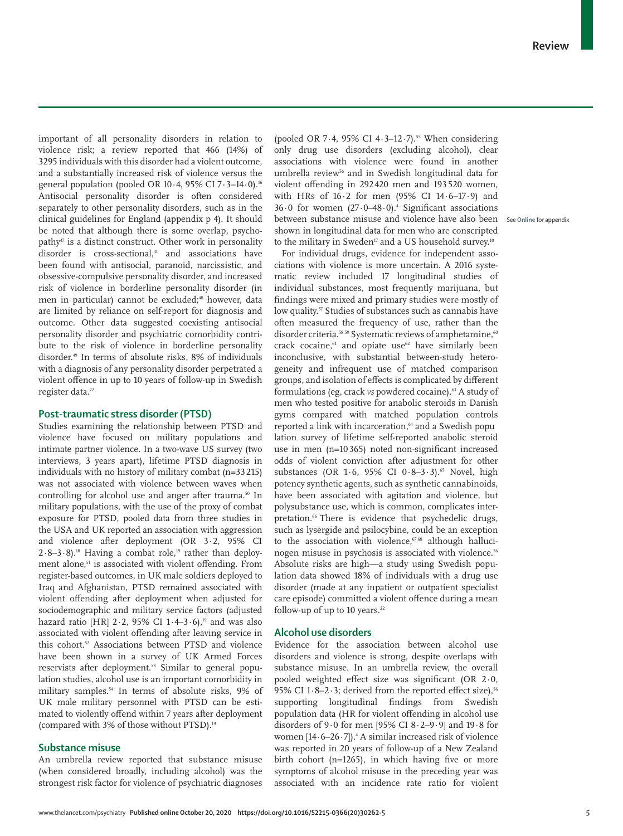important of all personality disorders in relation to violence risk; a review reported that 466 (14%) of 3295 individuals with this disorder had a violent outcome, and a substantially increased risk of violence versus the general population (pooled OR 10 $\cdot$ 4, 95% CI 7 $\cdot$ 3-14 $\cdot$ 0).<sup>16</sup> Antisocial personality disorder is often considered separately to other personality disorders, such as in the clinical guidelines for England (appendix p 4). It should be noted that although there is some overlap, psychopathy47 is a distinct construct. Other work in personality disorder is cross-sectional,<sup>41</sup> and associations have been found with antisocial, paranoid, narcissistic, and obsessive-compulsive perso nality disorder, and increased risk of violence in borderline personality disorder (in men in particular) cannot be excluded;<sup>48</sup> however, data are limited by reliance on self-report for diagnosis and outcome. Other data suggested coexisting antisocial personality disorder and psychiatric comorbidity contribute to the risk of violence in borderline personality disorder.49 In terms of absolute risks, 8% of individuals with a diagnosis of any personality disorder perpetrated a violent offence in up to 10 years of follow-up in Swedish register data.<sup>22</sup>

### **Post-traumatic stress disorder (PTSD)**

Studies examining the relationship between PTSD and violence have focused on military populations and intimate partner violence. In a two-wave US survey (two interviews, 3 years apart), lifetime PTSD diagnosis in individuals with no history of military combat (n=33 215) was not associated with violence between waves when controlling for alcohol use and anger after trauma.<sup>50</sup> In military populations, with the use of the proxy of combat exposure for PTSD, pooled data from three studies in the USA and UK reported an association with aggression and violence after deployment (OR 3·2, 95% CI  $2.8-3.8$ ).<sup>18</sup> Having a combat role,<sup>19</sup> rather than deployment alone,<sup>51</sup> is associated with violent offending. From register-based outcomes, in UK male soldiers deployed to Iraq and Afghanistan, PTSD remained associated with violent offending after deployment when adjusted for sociodemographic and military service factors (adjusted hazard ratio [HR] 2·2, 95% CI 1·4–3·6), <sup>19</sup> and was also associated with violent offending after leaving service in this cohort.52 Associations between PTSD and violence have been shown in a survey of UK Armed Forces reservists after deployment.<sup>53</sup> Similar to general population studies, alcohol use is an important comorbidity in military samples.54 In terms of absolute risks, 9% of UK male military personnel with PTSD can be estimated to violently offend within 7 years after deployment (compared with 3% of those without PTSD).<sup>19</sup>

### **Substance misuse**

An umbrella review reported that substance misuse (when considered broadly, including alcohol) was the strongest risk factor for violence of psychiatric diagnoses (pooled OR 7.4, 95% CI  $4.3-12.7$ ).<sup>55</sup> When considering only drug use disorders (excluding alcohol), clear associations with violence were found in another umbrella review<sup>56</sup> and in Swedish longitudinal data for violent offending in 292 420 men and 193 520 women, with HRs of 16·2 for men (95% CI 14·6–17·9) and  $36.0$  for women  $(27.0-48.0)$ .<sup>4</sup> Significant associations between substance misuse and violence have also been See **Online** for appendixshown in longitudinal data for men who are conscripted to the military in Sweden<sup>17</sup> and a US household survey.<sup>10</sup>

For individual drugs, evidence for independent associations with violence is more uncertain. A 2016 syste matic review included 17 longitudinal studies of individual substances, most frequently marijuana, but findings were mixed and primary studies were mostly of low quality.<sup>57</sup> Studies of substances such as cannabis have often measured the frequency of use, rather than the disorder criteria.<sup>58,59</sup> Systematic reviews of amphetamine,<sup>60</sup> crack cocaine,<sup>61</sup> and opiate use<sup>62</sup> have similarly been inconclusive, with substantial between-study heterogeneity and infrequent use of matched comparison groups, and isolation of effects is complicated by different formulations (eg, crack *vs* powdered cocaine).<sup>63</sup> A study of men who tested positive for anabolic steroids in Danish gyms compared with matched population controls reported a link with incarceration,<sup>64</sup> and a Swedish popu lation survey of lifetime self-reported anabolic steroid use in men (n=10 365) noted non-significant increased odds of violent conviction after adjustment for other substances (OR 1.6, 95% CI 0.8-3.3).<sup>65</sup> Novel, high potency synthetic agents, such as synthetic cannabinoids, have been associated with agitation and violence, but polysubstance use, which is common, complicates interpretation.<sup>66</sup> There is evidence that psychedelic drugs, such as lysergide and psilocybine, could be an exception to the association with violence,<sup>67,68</sup> although hallucinogen misuse in psychosis is associated with violence.<sup>26</sup> Absolute risks are high—a study using Swedish population data showed 18% of individuals with a drug use disorder (made at any inpatient or outpatient specialist care episode) committed a violent offence during a mean follow-up of up to 10 years.<sup>22</sup>

### **Alcohol use disorders**

Evidence for the association between alcohol use disorders and violence is strong, despite overlaps with substance misuse. In an umbrella review, the overall pooled weighted effect size was significant (OR 2·0, 95% CI 1·8-2·3; derived from the reported effect size),  $56$ supporting longitudinal findings from Swedish population data (HR for violent offending in alcohol use disorders of  $9.0$  for men [95% CI  $8.2-9.9$ ] and  $19.8$  for women  $[14.6-26.7]$ ). $\pm$  A similar increased risk of violence was reported in 20 years of follow-up of a New Zealand birth cohort (n=1265), in which having five or more symptoms of alcohol misuse in the preceding year was associated with an incidence rate ratio for violent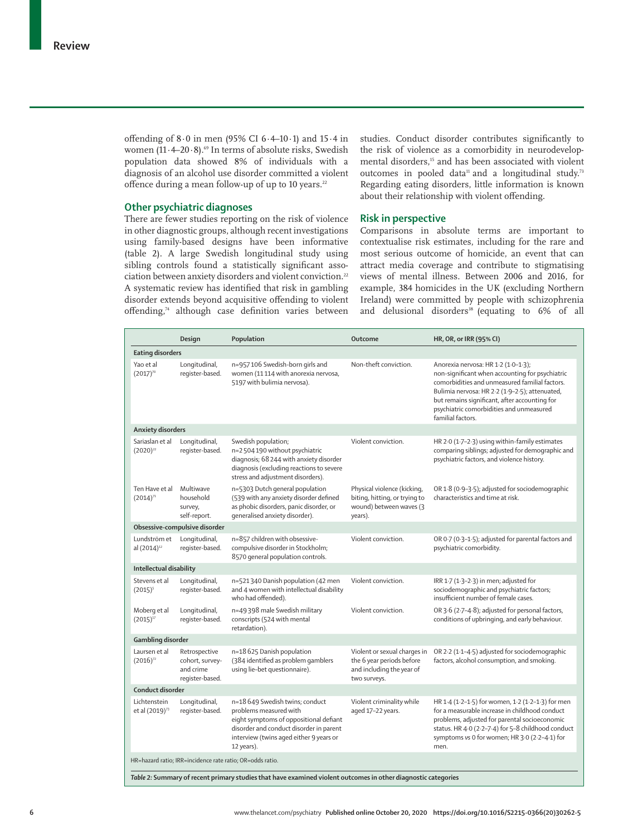offending of  $8.0$  in men (95% CI  $6.4$ –10 $\cdot$ 1) and  $15.4$  in women  $(11.4-20.8)$ .<sup>69</sup> In terms of absolute risks, Swedish population data showed 8% of individuals with a diagnosis of an alcohol use disorder committed a violent offence during a mean follow-up of up to 10 years.<sup>22</sup>

# **Other psychiatric diagnoses**

There are fewer studies reporting on the risk of violence in other diagnostic groups, although recent investigations using family-based designs have been informative (table 2). A large Swedish longitudinal study using sibling controls found a statistically significant association between anxiety disorders and violent conviction.<sup>22</sup> A systematic review has identified that risk in gambling disorder extends beyond acquisitive offending to violent offending,<sup>74</sup> although case definition varies between studies. Conduct disorder contributes significantly to the risk of violence as a comorbidity in neurodevelopmental disorders,<sup>15</sup> and has been associated with violent outcomes in pooled data<sup>11</sup> and a longitudinal study.<sup>73</sup> Regarding eating disorders, little information is known about their relationship with violent offending.

### **Risk in perspective**

Comparisons in absolute terms are important to contextualise risk estimates, including for the rare and most serious outcome of homicide, an event that can attract media coverage and contribute to stigmatising views of mental illness. Between 2006 and 2016, for example, 384 homicides in the UK (excluding Northern Ireland) were committed by people with schizophrenia and delusional disorders<sup>38</sup> (equating to 6% of all

|                                                                                                                                                                            | Design                                                           | Population                                                                                                                                                                                              | Outcome                                                                                                | <b>HR, OR, or IRR (95% CI)</b>                                                                                                                                                                                                                                                                               |  |  |
|----------------------------------------------------------------------------------------------------------------------------------------------------------------------------|------------------------------------------------------------------|---------------------------------------------------------------------------------------------------------------------------------------------------------------------------------------------------------|--------------------------------------------------------------------------------------------------------|--------------------------------------------------------------------------------------------------------------------------------------------------------------------------------------------------------------------------------------------------------------------------------------------------------------|--|--|
| <b>Eating disorders</b>                                                                                                                                                    |                                                                  |                                                                                                                                                                                                         |                                                                                                        |                                                                                                                                                                                                                                                                                                              |  |  |
| Yao et al<br>$(2017)^{70}$                                                                                                                                                 | Longitudinal,<br>register-based.                                 | n=957106 Swedish-born girls and<br>women (11114 with anorexia nervosa,<br>5197 with bulimia nervosa).                                                                                                   | Non-theft conviction.                                                                                  | Anorexia nervosa: HR 1-2 (1-0-1-3);<br>non-significant when accounting for psychiatric<br>comorbidities and unmeasured familial factors.<br>Bulimia nervosa: HR 2-2 (1-9-2-5); attenuated,<br>but remains significant, after accounting for<br>psychiatric comorbidities and unmeasured<br>familial factors. |  |  |
| <b>Anxiety disorders</b>                                                                                                                                                   |                                                                  |                                                                                                                                                                                                         |                                                                                                        |                                                                                                                                                                                                                                                                                                              |  |  |
| Sariaslan et al<br>$(2020)^{22}$                                                                                                                                           | Longitudinal,<br>register-based.                                 | Swedish population;<br>n=2 504 190 without psychiatric<br>diagnosis; 68 244 with anxiety disorder<br>diagnosis (excluding reactions to severe<br>stress and adjustment disorders).                      | Violent conviction.                                                                                    | HR 2.0 (1.7-2.3) using within-family estimates<br>comparing siblings; adjusted for demographic and<br>psychiatric factors, and violence history.                                                                                                                                                             |  |  |
| Ten Have et al<br>$(2014)^{71}$                                                                                                                                            | Multiwave<br>household<br>survey,<br>self-report.                | n=5303 Dutch general population<br>(539 with any anxiety disorder defined<br>as phobic disorders, panic disorder, or<br>generalised anxiety disorder).                                                  | Physical violence (kicking,<br>biting, hitting, or trying to<br>wound) between waves (3<br>years).     | OR 1.8 (0.9-3.5); adjusted for sociodemographic<br>characteristics and time at risk.                                                                                                                                                                                                                         |  |  |
|                                                                                                                                                                            | Obsessive-compulsive disorder                                    |                                                                                                                                                                                                         |                                                                                                        |                                                                                                                                                                                                                                                                                                              |  |  |
| Lundström et<br>al (2014) <sup>12</sup>                                                                                                                                    | Longitudinal,<br>register-based.                                 | n=857 children with obsessive-<br>compulsive disorder in Stockholm;<br>8570 general population controls.                                                                                                | Violent conviction.                                                                                    | OR 0.7 (0.3-1.5); adjusted for parental factors and<br>psychiatric comorbidity.                                                                                                                                                                                                                              |  |  |
| Intellectual disability                                                                                                                                                    |                                                                  |                                                                                                                                                                                                         |                                                                                                        |                                                                                                                                                                                                                                                                                                              |  |  |
| Stevens et al<br>$(2015)^5$                                                                                                                                                | Longitudinal,<br>register-based.                                 | n=521340 Danish population (42 men<br>and 4 women with intellectual disability<br>who had offended).                                                                                                    | Violent conviction.                                                                                    | IRR 1.7 (1.3-2.3) in men; adjusted for<br>sociodemographic and psychiatric factors;<br>insufficient number of female cases.                                                                                                                                                                                  |  |  |
| Moberg et al<br>$(2015)^{17}$                                                                                                                                              | Longitudinal,<br>register-based.                                 | n=49398 male Swedish military<br>conscripts (524 with mental<br>retardation).                                                                                                                           | Violent conviction.                                                                                    | OR 3.6 (2.7-4.8); adjusted for personal factors,<br>conditions of upbringing, and early behaviour.                                                                                                                                                                                                           |  |  |
| Gambling disorder                                                                                                                                                          |                                                                  |                                                                                                                                                                                                         |                                                                                                        |                                                                                                                                                                                                                                                                                                              |  |  |
| Laursen et al<br>$(2016)^{72}$                                                                                                                                             | Retrospective<br>cohort, survey-<br>and crime<br>register-based. | n=18625 Danish population<br>(384 identified as problem gamblers<br>using lie-bet questionnaire).                                                                                                       | Violent or sexual charges in<br>the 6 year periods before<br>and including the year of<br>two surveys. | OR 2.2 (1.1-4.5) adjusted for sociodemographic<br>factors, alcohol consumption, and smoking.                                                                                                                                                                                                                 |  |  |
| Conduct disorder                                                                                                                                                           |                                                                  |                                                                                                                                                                                                         |                                                                                                        |                                                                                                                                                                                                                                                                                                              |  |  |
| Lichtenstein<br>et al (2019) <sup>73</sup>                                                                                                                                 | Longitudinal,<br>register-based.                                 | n=18 649 Swedish twins; conduct<br>problems measured with<br>eight symptoms of oppositional defiant<br>disorder and conduct disorder in parent<br>interview (twins aged either 9 years or<br>12 years). | Violent criminality while<br>aged 17-22 years.                                                         | HR 1.4 (1.2-1.5) for women, 1.2 (1.2-1.3) for men<br>for a measurable increase in childhood conduct<br>problems, adjusted for parental socioeconomic<br>status. HR 4.0 (2.2-7.4) for 5-8 childhood conduct<br>symptoms vs 0 for women; HR 3.0 (2.2-4.1) for<br>men.                                          |  |  |
| HR=hazard ratio; IRR=incidence rate ratio; OR=odds ratio.<br>Table 2: Summary of recent primary studies that have examined violent outcomes in other diagnostic categories |                                                                  |                                                                                                                                                                                                         |                                                                                                        |                                                                                                                                                                                                                                                                                                              |  |  |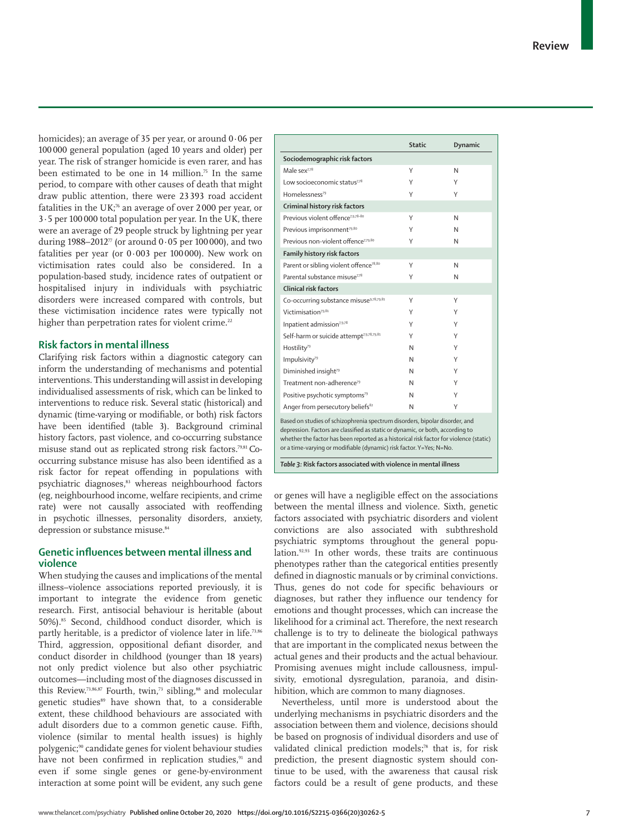homicides); an average of 35 per year, or around  $0.06$  per 100 000 general population (aged 10 years and older) per year. The risk of stranger homicide is even rarer, and has been estimated to be one in 14 million.<sup>75</sup> In the same period, to compare with other causes of death that might draw public attention, there were 23 393 road accident fatalities in the UK;<sup>76</sup> an average of over 2000 per year, or 3·5 per 100 000 total population per year. In the UK, there were an average of 29 people struck by lightning per year during 1988–2012<sup> $\pi$ </sup> (or around 0.05 per 100 000), and two fatalities per year (or  $0.003$  per 100000). New work on victimisation rates could also be considered. In a population-based study, incidence rates of outpatient or hospitalised injury in individuals with psychiatric disorders were increased compared with controls, but these victimisation incidence rates were typically not higher than perpetration rates for violent crime.<sup>22</sup>

# **Risk factors in mental illness**

Clarifying risk factors within a diagnostic category can inform the understanding of mechanisms and potential interventions. This understanding will assist in developing individualised assessments of risk, which can be linked to interventions to reduce risk. Several static (historical) and dynamic (time-varying or modifiable, or both) risk factors have been identified (table 3). Background criminal history factors, past violence, and co-occurring substance misuse stand out as replicated strong risk factors.79,81 Cooccurring substance misuse has also been identified as a risk factor for repeat offending in populations with psychiatric diagnoses,<sup>83</sup> whereas neighbourhood factors (eg, neighbourhood income, welfare recipients, and crime rate) were not causally associated with reoffending in psychotic illnesses, personality disorders, anxiety, depression or substance misuse.<sup>84</sup>

# **Genetic influences between mental illness and violence**

When studying the causes and implications of the mental illness-violence associations reported previously, it is important to integrate the evidence from genetic research. First, antisocial behaviour is heritable (about 50%).85 Second, childhood conduct disorder, which is partly heritable, is a predictor of violence later in life.<sup>73,86</sup> Third, aggression, oppositional defiant disorder, and conduct disorder in childhood (younger than 18 years) not only predict violence but also other psychiatric outcomes—including most of the diagnoses discussed in this Review.<sup>73,86,87</sup> Fourth, twin,<sup>73</sup> sibling,<sup>88</sup> and molecular genetic studies<sup>89</sup> have shown that, to a considerable extent, these childhood behaviours are associated with adult disorders due to a common genetic cause. Fifth, violence (similar to mental health issues) is highly polygenic;<sup>90</sup> candidate genes for violent behaviour studies have not been confirmed in replication studies,<sup>91</sup> and even if some single genes or gene-by-environment interaction at some point will be evident, any such gene

|                                                      | <b>Static</b> | Dynamic |  |
|------------------------------------------------------|---------------|---------|--|
| Sociodemographic risk factors                        |               |         |  |
| Male sex <sup>7,78</sup>                             | Υ             | N       |  |
| Low socioeconomic status <sup>7,78</sup>             | γ             | Υ       |  |
| Homelessness <sup>79</sup>                           | Υ             | Υ       |  |
| Criminal history risk factors                        |               |         |  |
| Previous violent offence <sup>7,9,78-80</sup>        | Υ             | N       |  |
| Previous imprisonment <sup>79,80</sup>               | Υ             | N       |  |
| Previous non-violent offence <sup>7,79,80</sup>      | Υ             | N       |  |
| Family history risk factors                          |               |         |  |
| Parent or sibling violent offence <sup>78,80</sup>   | Υ             | N       |  |
| Parental substance misuse <sup>7,78</sup>            | Υ             | N       |  |
| Clinical risk factors                                |               |         |  |
| Co-occurring substance misuse <sup>9,78,79,81</sup>  | Υ             | Υ       |  |
| Victimisation <sup>79,81</sup>                       | Υ             | Υ       |  |
| Inpatient admission <sup>7,9,78</sup>                | Υ             | Υ       |  |
| Self-harm or suicide attempt <sup>7,9,78,79,81</sup> | Υ             | Υ       |  |
| Hostility <sup>79</sup>                              | N             | Υ       |  |
| Impulsivity <sup>79</sup>                            | N             | Υ       |  |
| Diminished insight <sup>79</sup>                     | N             | Υ       |  |
| Treatment non-adherence <sup>79</sup>                | N             | Υ       |  |
| Positive psychotic symptoms <sup>79</sup>            | N             | Υ       |  |
| Anger from persecutory beliefs <sup>82</sup>         | N             | Υ       |  |
|                                                      |               |         |  |

Based on studies of schizophrenia spectrum disorders, bipolar disorder, and depression. Factors are classified as static or dynamic, or both, according to whether the factor has been reported as a historical risk factor for violence (static) or a time-varying or modifiable (dynamic) risk factor. Y=Yes; N=No.

*Table 3:* **Risk factors associated with violence in mental illness**

or genes will have a negligible effect on the associations between the mental illness and violence. Sixth, genetic factors associated with psychiatric disorders and violent convictions are also associated with subthreshold psychiatric symptoms throughout the general population.92,93 In other words, these traits are continuous phenotypes rather than the categorical entities presently defined in diagnostic manuals or by criminal convictions. Thus, genes do not code for specific behaviours or diagnoses, but rather they influence our tendency for emotions and thought processes, which can increase the likelihood for a criminal act. Therefore, the next research challenge is to try to delineate the biological pathways that are important in the complicated nexus between the actual genes and their products and the actual behaviour. Promising avenues might include callousness, impulsivity, emotional dysregulation, paranoia, and disinhibition, which are common to many diagnoses.

Nevertheless, until more is understood about the underlying mechanisms in psychiatric disorders and the association between them and violence, decisions should be based on prognosis of individual disorders and use of validated clinical prediction models;78 that is, for risk prediction, the present diagnostic system should continue to be used, with the awareness that causal risk factors could be a result of gene products, and these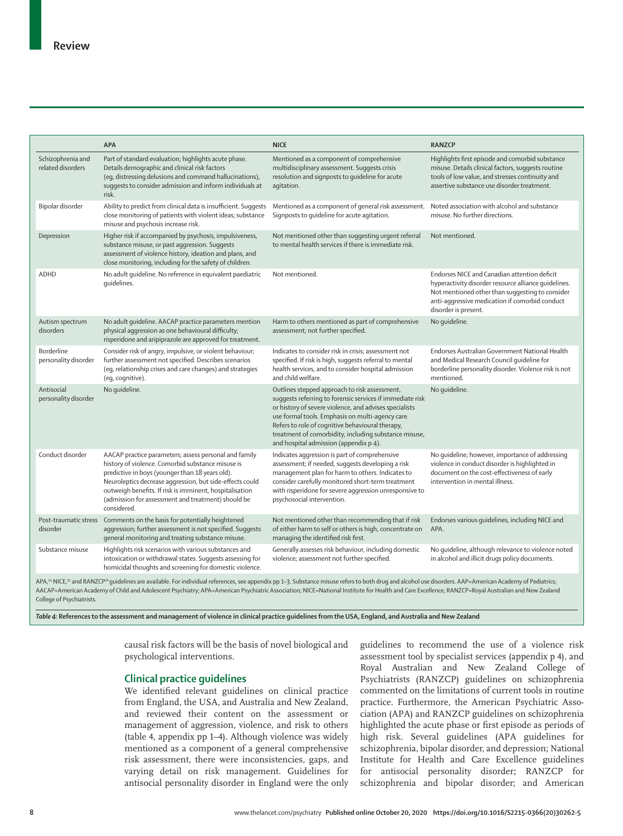|                                                                                                                                                                                                                                                                                                                                                                                                                                                     | <b>APA</b>                                                                                                                                                                                                                                                                                                                                                | <b>NICE</b>                                                                                                                                                                                                                                                                                                                                                                     | <b>RANZCP</b>                                                                                                                                                                                                                     |  |  |
|-----------------------------------------------------------------------------------------------------------------------------------------------------------------------------------------------------------------------------------------------------------------------------------------------------------------------------------------------------------------------------------------------------------------------------------------------------|-----------------------------------------------------------------------------------------------------------------------------------------------------------------------------------------------------------------------------------------------------------------------------------------------------------------------------------------------------------|---------------------------------------------------------------------------------------------------------------------------------------------------------------------------------------------------------------------------------------------------------------------------------------------------------------------------------------------------------------------------------|-----------------------------------------------------------------------------------------------------------------------------------------------------------------------------------------------------------------------------------|--|--|
| Schizophrenia and<br>related disorders                                                                                                                                                                                                                                                                                                                                                                                                              | Part of standard evaluation; highlights acute phase.<br>Details demographic and clinical risk factors<br>(eq, distressing delusions and command hallucinations),<br>suggests to consider admission and inform individuals at<br>risk.                                                                                                                     | Mentioned as a component of comprehensive<br>multidisciplinary assessment. Suggests crisis<br>resolution and signposts to guideline for acute<br>agitation.                                                                                                                                                                                                                     | Highlights first episode and comorbid substance<br>misuse. Details clinical factors, suggests routine<br>tools of low value, and stresses continuity and<br>assertive substance use disorder treatment.                           |  |  |
| Bipolar disorder                                                                                                                                                                                                                                                                                                                                                                                                                                    | Ability to predict from clinical data is insufficient. Suggests<br>close monitoring of patients with violent ideas; substance<br>misuse and psychosis increase risk.                                                                                                                                                                                      | Mentioned as a component of general risk assessment. Noted association with alcohol and substance<br>Signposts to quideline for acute agitation.                                                                                                                                                                                                                                | misuse. No further directions.                                                                                                                                                                                                    |  |  |
| Depression                                                                                                                                                                                                                                                                                                                                                                                                                                          | Higher risk if accompanied by psychosis, impulsiveness,<br>substance misuse, or past aggression. Suggests<br>assessment of violence history, ideation and plans, and<br>close monitoring, including for the safety of children.                                                                                                                           | Not mentioned other than suggesting urgent referral<br>to mental health services if there is immediate risk.                                                                                                                                                                                                                                                                    | Not mentioned.                                                                                                                                                                                                                    |  |  |
| <b>ADHD</b>                                                                                                                                                                                                                                                                                                                                                                                                                                         | No adult quideline. No reference in equivalent paediatric<br>quidelines.                                                                                                                                                                                                                                                                                  | Not mentioned.                                                                                                                                                                                                                                                                                                                                                                  | Endorses NICE and Canadian attention deficit<br>hyperactivity disorder resource alliance quidelines.<br>Not mentioned other than suggesting to consider<br>anti-aggressive medication if comorbid conduct<br>disorder is present. |  |  |
| Autism spectrum<br>disorders                                                                                                                                                                                                                                                                                                                                                                                                                        | No adult quideline. AACAP practice parameters mention<br>physical aggression as one behavioural difficulty;<br>risperidone and aripiprazole are approved for treatment.                                                                                                                                                                                   | Harm to others mentioned as part of comprehensive<br>assessment; not further specified.                                                                                                                                                                                                                                                                                         | No quideline.                                                                                                                                                                                                                     |  |  |
| <b>Borderline</b><br>personality disorder                                                                                                                                                                                                                                                                                                                                                                                                           | Consider risk of angry, impulsive, or violent behaviour;<br>further assessment not specified. Describes scenarios<br>(eq, relationship crises and care changes) and strategies<br>(eq, coqnitive).                                                                                                                                                        | Indicates to consider risk in crisis; assessment not<br>specified. If risk is high, suggests referral to mental<br>health services, and to consider hospital admission<br>and child welfare.                                                                                                                                                                                    | Endorses Australian Government National Health<br>and Medical Research Council quideline for<br>borderline personality disorder. Violence risk is not<br>mentioned.                                                               |  |  |
| Antisocial<br>personality disorder                                                                                                                                                                                                                                                                                                                                                                                                                  | No quideline.                                                                                                                                                                                                                                                                                                                                             | Outlines stepped approach to risk assessment,<br>suggests referring to forensic services if immediate risk<br>or history of severe violence, and advises specialists<br>use formal tools. Emphasis on multi-agency care.<br>Refers to role of cognitive behavioural therapy,<br>treatment of comorbidity, including substance misuse,<br>and hospital admission (appendix p 4). | No quideline.                                                                                                                                                                                                                     |  |  |
| Conduct disorder                                                                                                                                                                                                                                                                                                                                                                                                                                    | AACAP practice parameters; assess personal and family<br>history of violence. Comorbid substance misuse is<br>predictive in boys (younger than 18 years old).<br>Neuroleptics decrease aggression, but side-effects could<br>outweigh benefits. If risk is imminent, hospitalisation<br>(admission for assessment and treatment) should be<br>considered. | Indicates aggression is part of comprehensive<br>assessment; if needed, suggests developing a risk<br>management plan for harm to others. Indicates to<br>consider carefully monitored short-term treatment<br>with risperidone for severe aggression unresponsive to<br>psychosocial intervention.                                                                             | No quideline; however, importance of addressing<br>violence in conduct disorder is highlighted in<br>document on the cost-effectiveness of early<br>intervention in mental illness.                                               |  |  |
| Post-traumatic stress<br>disorder                                                                                                                                                                                                                                                                                                                                                                                                                   | Comments on the basis for potentially heightened<br>aggression; further assessment is not specified. Suggests<br>general monitoring and treating substance misuse.                                                                                                                                                                                        | Not mentioned other than recommending that if risk<br>of either harm to self or others is high, concentrate on<br>managing the identified risk first.                                                                                                                                                                                                                           | Endorses various quidelines, including NICE and<br>APA.                                                                                                                                                                           |  |  |
| Substance misuse                                                                                                                                                                                                                                                                                                                                                                                                                                    | Highlights risk scenarios with various substances and<br>intoxication or withdrawal states. Suggests assessing for<br>homicidal thoughts and screening for domestic violence.                                                                                                                                                                             | Generally assesses risk behaviour, including domestic<br>violence; assessment not further specified.                                                                                                                                                                                                                                                                            | No quideline, although relevance to violence noted<br>in alcohol and illicit drugs policy documents.                                                                                                                              |  |  |
| APA, <sup>94</sup> NICE, <sup>95</sup> and RANZCP <sup>96</sup> quidelines are available. For individual references, see appendix pp 1-3. Substance misuse refers to both drug and alcohol use disorders. AAP=American Academy of Pediatrics;<br>AACAR American Academy of Child and Adologont Revolution, ARA, American Revolutivis Accordition, NICE, National Institute for Health and Care Evcallence: RANZCR, Revol Australian and New Zealand |                                                                                                                                                                                                                                                                                                                                                           |                                                                                                                                                                                                                                                                                                                                                                                 |                                                                                                                                                                                                                                   |  |  |

AACAP=American Academy of Child and Adolescent Psychiatry; APA=American Psychiatric Association; NICE=National Institute for Health and Care Excellence; RANZCP=Royal Australian and New Zealand College of Psychiatrists.

*Table 4:* **References to the assessment and management of violence in clinical practice guidelines from the USA, England, and Australia and New Zealand**

causal risk factors will be the basis of novel biological and psychological interventions.

# **Clinical practice guidelines**

We identified relevant guidelines on clinical practice from England, the USA, and Australia and New Zealand, and reviewed their content on the assessment or management of aggression, violence, and risk to others (table 4, appendix pp 1–4). Although violence was widely mentioned as a component of a general comprehensive risk assessment, there were inconsistencies, gaps, and varying detail on risk management. Guidelines for antisocial personality disorder in England were the only guidelines to recommend the use of a violence risk assessment tool by specialist services (appendix p 4), and Royal Australian and New Zealand College of Psychiatrists (RANZCP) guidelines on schizophrenia commented on the limitations of current tools in routine practice. Furthermore, the American Psychiatric Association (APA) and RANZCP guidelines on schizophrenia highlighted the acute phase or first episode as periods of high risk. Several guidelines (APA guidelines for schizophrenia, bipolar disorder, and depression; National Institute for Health and Care Excellence guidelines for antisocial personality disorder**;** RANZCP for schizophrenia and bipolar disorder; and American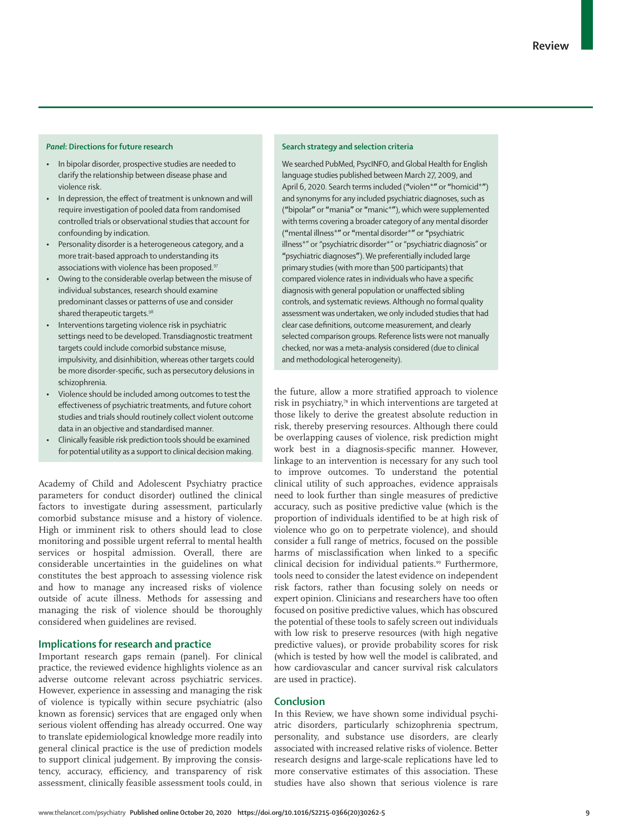- In bipolar disorder, prospective studies are needed to clarify the relationship between disease phase and violence risk.
- In depression, the effect of treatment is unknown and will require investigation of pooled data from randomised controlled trials or observational studies that account for confounding by indication.
- Personality disorder is a heterogeneous category, and a more trait-based approach to understanding its associations with violence has been proposed.<sup>97</sup>
- Owing to the considerable overlap between the misuse of individual substances, research should examine predominant classes or patterns of use and consider shared therapeutic targets.<sup>98</sup>
- Interventions targeting violence risk in psychiatric settings need to be developed. Transdiagnostic treatment targets could include comorbid substance misuse, impulsivity, and disinhibition, whereas other targets could be more disorder-specific, such as persecutory delusions in schizophrenia.
- Violence should be included among outcomes to test the effectiveness of psychiatric treatments, and future cohort studies and trials should routinely collect violent outcome data in an objective and standardised manner.
- Clinically feasible risk prediction tools should be examined for potential utility as a support to clinical decision making.

Academy of Child and Adolescent Psychiatry practice parameters for conduct disorder) outlined the clinical factors to investigate during assessment, particularly comorbid substance misuse and a history of violence. High or imminent risk to others should lead to close monitoring and possible urgent referral to mental health services or hospital admission. Overall, there are considerable uncertainties in the guidelines on what constitutes the best approach to assessing violence risk and how to manage any increased risks of violence outside of acute illness. Methods for assessing and managing the risk of violence should be thoroughly considered when guidelines are revised.

# **Implications for research and practice**

Important research gaps remain (panel). For clinical practice, the reviewed evidence highlights violence as an adverse outcome relevant across psychiatric services. However, experience in assessing and managing the risk of violence is typically within secure psychiatric (also known as forensic) services that are engaged only when serious violent offending has already occurred. One way to translate epidemiological knowledge more readily into general clinical practice is the use of prediction models to support clinical judgement. By improving the consistency, accuracy, efficiency, and transparency of risk assessment, clinically feasible assessment tools could, in

### **Search strategy and selection criteria**

We searched PubMed, PsycINFO, and Global Health for English language studies published between March 27, 2009, and April 6, 2020. Search terms included (**"**violen\***"** or **"**homicid\***"**) and synonyms for any included psychiatric diagnoses, such as (**"**bipolar**"** or **"**mania**"** or **"**manic\***"**), which were supplemented with terms covering a broader category of any mental disorder (**"**mental illness\***"** or **"**mental disorder\***"** or **"**psychiatric illness\*" or "psychiatric disorder\*" or "psychiatric diagnosis" or **"**psychiatric diagnoses**"**). We preferentially included large primary studies (with more than 500 participants) that compared violence rates in individuals who have a specific diagnosis with general population or unaffected sibling controls, and systematic reviews. Although no formal quality assessment was undertaken, we only included studies that had clear case definitions, outcome measurement, and clearly selected comparison groups. Reference lists were not manually checked, nor was a meta-analysis considered (due to clinical and methodological heterogeneity).

the future, allow a more stratified approach to violence risk in psychiatry,<sup>78</sup> in which interventions are targeted at those likely to derive the greatest absolute reduction in risk, thereby preserving resources. Although there could be overlapping causes of violence, risk prediction might work best in a diagnosis-specific manner. However, linkage to an intervention is necessary for any such tool to improve outcomes. To understand the potential clinical utility of such approaches, evidence appraisals need to look further than single measures of predictive accuracy, such as positive predictive value (which is the proportion of individuals identified to be at high risk of violence who go on to perpetrate violence), and should consider a full range of metrics, focused on the possible harms of misclassification when linked to a specific clinical decision for individual patients.<sup>99</sup> Furthermore, tools need to consider the latest evidence on independent risk factors, rather than focusing solely on needs or expert opinion. Clinicians and researchers have too often focused on positive predictive values, which has obscured the potential of these tools to safely screen out individuals with low risk to preserve resources (with high negative predictive values), or provide probability scores for risk (which is tested by how well the model is calibrated, and how cardiovascular and cancer survival risk calculators are used in practice).

#### **Conclusion**

In this Review, we have shown some individual psychiatric disorders, particularly schizophrenia spectrum, personality, and substance use disorders, are clearly associated with increased relative risks of violence. Better research designs and large-scale replications have led to more conservative estimates of this association. These studies have also shown that serious violence is rare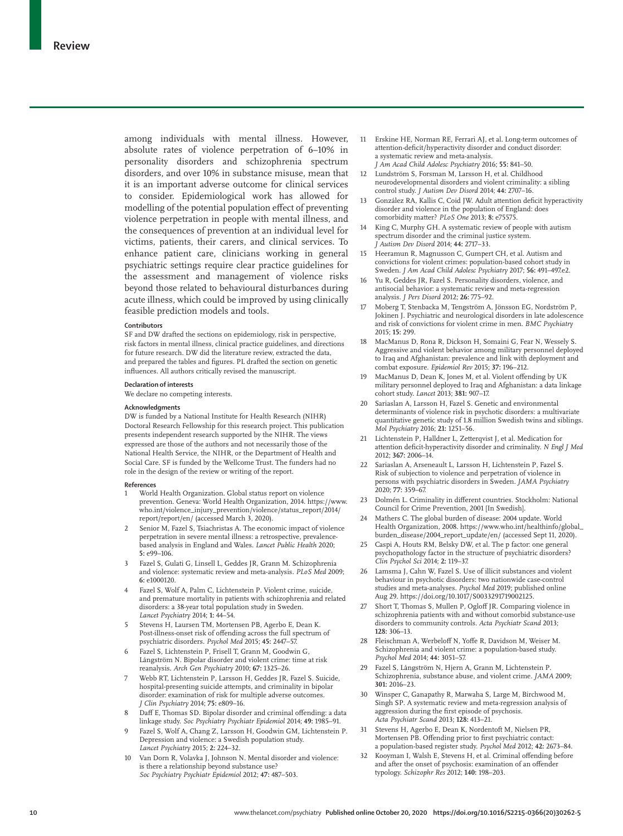among individuals with mental illness. However, absolute rates of violence perpetration of 6–10% in personality disorders and schizophrenia spectrum disorders, and over 10% in substance misuse, mean that it is an important adverse outcome for clinical services to consider. Epidemiological work has allowed for modelling of the potential population effect of preventing violence perpetration in people with mental illness, and the consequences of prevention at an individual level for victims, patients, their carers, and clinical services. To enhance patient care, clinicians working in general psychiatric settings require clear practice guidelines for the assessment and management of violence risks beyond those related to behavioural disturbances during acute illness, which could be improved by using clinically feasible prediction models and tools.

#### **Contributors**

SF and DW drafted the sections on epidemiology, risk in perspective, risk factors in mental illness, clinical practice guidelines, and directions for future research. DW did the literature review, extracted the data, and prepared the tables and figures. PL drafted the section on genetic influences. All authors critically revised the manuscript.

#### **Declaration of interests**

We declare no competing interests.

#### **Acknowledgments**

DW is funded by a National Institute for Health Research (NIHR) Doctoral Research Fellowship for this research project. This publication presents independent research supported by the NIHR. The views expressed are those of the authors and not necessarily those of the National Health Service, the NIHR, or the Department of Health and Social Care. SF is funded by the Wellcome Trust. The funders had no role in the design of the review or writing of the report.

#### **References**

- World Health Organization. Global status report on violence prevention. Geneva: World Health Organization, 2014. https://www. who.int/violence\_injury\_prevention/violence/status\_report/2014/ report/report/en/ (accessed March 3, 2020).
- Senior M, Fazel S, Tsiachristas A. The economic impact of violence perpetration in severe mental illness: a retrospective, prevalencebased analysis in England and Wales. *Lancet Public Health* 2020; **5:** e99–106.
- 3 Fazel S, Gulati G, Linsell L, Geddes JR, Grann M. Schizophrenia and violence: systematic review and meta-analysis. *PLoS Med* 2009; **6:** e1000120.
- 4 Fazel S, Wolf A, Palm C, Lichtenstein P. Violent crime, suicide, and premature mortality in patients with schizophrenia and related disorders: a 38-year total population study in Sweden. *Lancet Psychiatry* 2014; **1:** 44–54.
- 5 Stevens H, Laursen TM, Mortensen PB, Agerbo E, Dean K. Post-illness-onset risk of offending across the full spectrum of psychiatric disorders. *Psychol Med* 2015; **45:** 2447–57.
- 6 Fazel S, Lichtenstein P, Frisell T, Grann M, Goodwin G, Långström N. Bipolar disorder and violent crime: time at risk reanalysis. *Arch Gen Psychiatry* 2010; **67:** 1325–26.
- 7 Webb RT, Lichtenstein P, Larsson H, Geddes JR, Fazel S. Suicide, hospital-presenting suicide attempts, and criminality in bipolar disorder: examination of risk for multiple adverse outcomes. *J Clin Psychiatry* 2014; **75:** e809–16.
- 8 Daff E, Thomas SD. Bipolar disorder and criminal offending: a data linkage study. *Soc Psychiatry Psychiatr Epidemiol* 2014; **49:** 1985–91.
- 9 Fazel S, Wolf A, Chang Z, Larsson H, Goodwin GM, Lichtenstein P. Depression and violence: a Swedish population study. *Lancet Psychiatry* 2015; **2:** 224–32.
- 10 Van Dorn R, Volavka J, Johnson N. Mental disorder and violence: is there a relationship beyond substance use? *Soc Psychiatry Psychiatr Epidemiol* 2012; **47:** 487–503.
- 11 Erskine HE, Norman RE, Ferrari AJ, et al. Long-term outcomes of attention-deficit/hyperactivity disorder and conduct disorder: a systematic review and meta-analysis. *J Am Acad Child Adolesc Psychiatry* 2016; **55:** 841–50.
- 12 Lundström S, Forsman M, Larsson H, et al. Childhood neurodevelopmental disorders and violent criminality: a sibling control study. *J Autism Dev Disord* 2014; **44:** 2707–16.
- 13 González RA, Kallis C, Coid JW. Adult attention deficit hyperactivity disorder and violence in the population of England: does comorbidity matter? *PLoS One* 2013; **8:** e75575.
- 14 King C, Murphy GH. A systematic review of people with autism spectrum disorder and the criminal justice system. *J Autism Dev Disord* 2014; **44:** 2717–33.
- Heeramun R, Magnusson C, Gumpert CH, et al. Autism and convictions for violent crimes: population-based cohort study in Sweden. *J Am Acad Child Adolesc Psychiatry* 2017; **56:** 491–497.e2.
- 16 Yu R, Geddes JR, Fazel S. Personality disorders, violence, and antisocial behavior: a systematic review and meta-regression analysis. *J Pers Disord* 2012; **26:** 775–92.
- 17 Moberg T, Stenbacka M, Tengström A, Jönsson EG, Nordström P, Jokinen J. Psychiatric and neurological disorders in late adolescence and risk of convictions for violent crime in men. *BMC Psychiatry* 2015; **15:** 299.
- 18 MacManus D, Rona R, Dickson H, Somaini G, Fear N, Wessely S. Aggressive and violent behavior among military personnel deployed to Iraq and Afghanistan: prevalence and link with deployment and combat exposure. *Epidemiol Rev* 2015; **37:** 196–212.
- MacManus D, Dean K, Jones M, et al. Violent offending by UK military personnel deployed to Iraq and Afghanistan: a data linkage cohort study. *Lancet* 2013; **381:** 907–17.
- 20 Sariaslan A, Larsson H, Fazel S. Genetic and environmental determinants of violence risk in psychotic disorders: a multivariate quantitative genetic study of 1.8 million Swedish twins and siblings. *Mol Psychiatry* 2016; **21:** 1251–56.
- 21 Lichtenstein P, Halldner L, Zetterqvist J, et al. Medication for attention deficit-hyperactivity disorder and criminality. *N Engl J Med* 2012; **367:** 2006–14.
- 22 Sariaslan A, Arseneault L, Larsson H, Lichtenstein P, Fazel S. Risk of subjection to violence and perpetration of violence in persons with psychiatric disorders in Sweden. *JAMA Psychiatry* 2020; **77:** 359–67.
- 23 Dolmén L. Criminality in different countries. Stockholm: National Council for Crime Prevention, 2001 [In Swedish].
- Mathers C. The global burden of disease: 2004 update. World Health Organization, 2008. https://www.who.int/healthinfo/global\_ burden\_disease/2004\_report\_update/en/ (accessed Sept 11, 2020).
- Caspi A, Houts RM, Belsky DW, et al. The p factor: one general psychopathology factor in the structure of psychiatric disorders? *Clin Psychol Sci* 2014; **2:** 119–37.
- 26 Lamsma J, Cahn W, Fazel S. Use of illicit substances and violent behaviour in psychotic disorders: two nationwide case-control studies and meta-analyses. *Psychol Med* 2019; published online Aug 29. https://doi.org/10.1017/S0033291719002125.
- Short T, Thomas S, Mullen P, Ogloff JR. Comparing violence in schizophrenia patients with and without comorbid substance-use disorders to community controls. *Acta Psychiatr Scand* 2013; **128:** 306–13.
- 28 Fleischman A, Werbeloff N, Yoffe R, Davidson M, Weiser M. Schizophrenia and violent crime: a population-based study. *Psychol Med* 2014; **44:** 3051–57.
- 29 Fazel S, Långström N, Hjern A, Grann M, Lichtenstein P. Schizophrenia, substance abuse, and violent crime. *JAMA* 2009; **301:** 2016–23.
- 30 Winsper C, Ganapathy R, Marwaha S, Large M, Birchwood M, Singh SP. A systematic review and meta-regression analysis of aggression during the first episode of psychosis. *Acta Psychiatr Scand* 2013; **128:** 413–21.
- 31 Stevens H, Agerbo E, Dean K, Nordentoft M, Nielsen PR, Mortensen PB. Offending prior to first psychiatric contact: a population-based register study. *Psychol Med* 2012; **42:** 2673–84.
- 32 Kooyman I, Walsh E, Stevens H, et al. Criminal offending before and after the onset of psychosis: examination of an offender typology. *Schizophr Res* 2012; **140:** 198–203.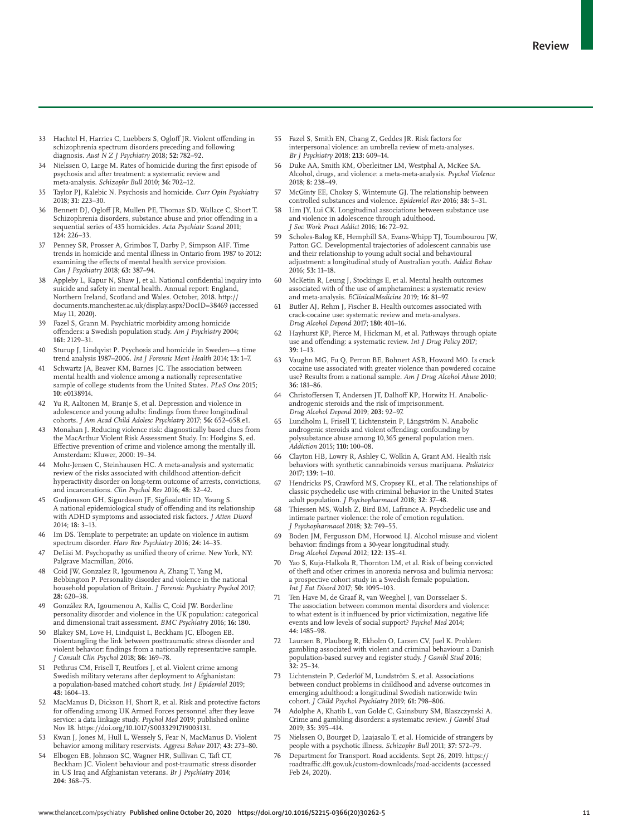- 33 Hachtel H, Harries C, Luebbers S, Ogloff JR. Violent offending in schizophrenia spectrum disorders preceding and following diagnosis. *Aust N Z J Psychiatry* 2018; **52:** 782–92.
- Nielssen O, Large M. Rates of homicide during the first episode of psychosis and after treatment: a systematic review and meta-analysis. *Schizophr Bull* 2010; **36:** 702–12.
- 35 Taylor PJ, Kalebic N. Psychosis and homicide. *Curr Opin Psychiatry* 2018; **31:** 223–30.
- 36 Bennett DJ, Ogloff JR, Mullen PE, Thomas SD, Wallace C, Short T. Schizophrenia disorders, substance abuse and prior offending in a sequential series of 435 homicides. *Acta Psychiatr Scand* 2011; **124:** 226–33.
- 37 Penney SR, Prosser A, Grimbos T, Darby P, Simpson AIF. Time trends in homicide and mental illness in Ontario from 1987 to 2012: examining the effects of mental health service provision. *Can J Psychiatry* 2018; **63:** 387–94.
- 38 Appleby L, Kapur N, Shaw J, et al. National confidential inquiry into suicide and safety in mental health. Annual report: England, Northern Ireland, Scotland and Wales. October, 2018. http:// documents.manchester.ac.uk/display.aspx?DocID=38469 (accessed May 11, 2020).
- 39 Fazel S, Grann M. Psychiatric morbidity among homicide offenders: a Swedish population study. *Am J Psychiatry* 2004; **161:** 2129–31.
- 40 Sturup J, Lindqvist P. Psychosis and homicide in Sweden—a time trend analysis 1987–2006. *Int J Forensic Ment Health* 2014; **13:** 1–7.
- 41 Schwartz JA, Beaver KM, Barnes JC. The association between mental health and violence among a nationally representative sample of college students from the United States. *PLoS One* 2015; **10:** e0138914.
- 42 Yu R, Aaltonen M, Branje S, et al. Depression and violence in adolescence and young adults: findings from three longitudinal cohorts. *J Am Acad Child Adolesc Psychiatry* 2017; **56:** 652–658.e1.
- Monahan J. Reducing violence risk: diagnostically based clues from the MacArthur Violent Risk Assessment Study. In: Hodgins S, ed. Effective prevention of crime and violence among the mentally ill. Amsterdam: Kluwer, 2000: 19–34.
- Mohr-Jensen C, Steinhausen HC. A meta-analysis and systematic review of the risks associated with childhood attention-deficit hyperactivity disorder on long-term outcome of arrests, convictions, and incarcerations. *Clin Psychol Rev* 2016; **48:** 32–42.
- 45 Gudjonsson GH, Sigurdsson JF, Sigfusdottir ID, Young S. A national epidemiological study of offending and its relationship with ADHD symptoms and associated risk factors. *J Atten Disord* 2014; **18:** 3–13.
- 46 Im DS. Template to perpetrate: an update on violence in autism spectrum disorder. *Harv Rev Psychiatry* 2016; **24:** 14–35.
- 47 DeLisi M. Psychopathy as unified theory of crime. New York, NY: Palgrave Macmillan, 2016.
- 48 Coid JW, Gonzalez R, Igoumenou A, Zhang T, Yang M, Bebbington P. Personality disorder and violence in the national household population of Britain. *J Forensic Psychiatry Psychol* 2017; **28:** 620–38.
- 49 González RA, Igoumenou A, Kallis C, Coid JW. Borderline personality disorder and violence in the UK population: categorical and dimensional trait assessment. *BMC Psychiatry* 2016; **16:** 180.
- Blakey SM, Love H, Lindquist L, Beckham JC, Elbogen EB. Disentangling the link between posttraumatic stress disorder and violent behavior: findings from a nationally representative sample. *J Consult Clin Psychol* 2018; **86:** 169–78.
- 51 Pethrus CM, Frisell T, Reutfors J, et al. Violent crime among Swedish military veterans after deployment to Afghanistan: a population-based matched cohort study. *Int J Epidemiol* 2019; **48:** 1604–13.
- 52 MacManus D, Dickson H, Short R, et al. Risk and protective factors for offending among UK Armed Forces personnel after they leave service: a data linkage study. *Psychol Med* 2019; published online Nov 18. https://doi.org/10.1017/S0033291719003131.
- 53 Kwan J, Jones M, Hull L, Wessely S, Fear N, MacManus D. Violent behavior among military reservists. *Aggress Behav* 2017; **43:** 273–80.
- 54 Elbogen EB, Johnson SC, Wagner HR, Sullivan C, Taft CT, Beckham JC. Violent behaviour and post-traumatic stress disorder in US Iraq and Afghanistan veterans. *Br J Psychiatry* 2014; **204:** 368–75.
- 55 Fazel S, Smith EN, Chang Z, Geddes JR. Risk factors for interpersonal violence: an umbrella review of meta-analyses. *Br J Psychiatry* 2018; **213:** 609–14.
- 56 Duke AA, Smith KM, Oberleitner LM, Westphal A, McKee SA. Alcohol, drugs, and violence: a meta-meta-analysis. *Psychol Violence* 2018; **8:** 238–49.
- 57 McGinty EE, Choksy S, Wintemute GJ. The relationship between controlled substances and violence. *Epidemiol Rev* 2016; **38:** 5–31.
- 58 Lim JY, Lui CK. Longitudinal associations between substance use and violence in adolescence through adulthood. *J Soc Work Pract Addict* 2016; **16:** 72–92.
- Scholes-Balog KE, Hemphill SA, Evans-Whipp TJ, Toumbourou JW, Patton GC. Developmental trajectories of adolescent cannabis use and their relationship to young adult social and behavioural adjustment: a longitudinal study of Australian youth. *Addict Behav* 2016; **53:** 11–18.
- 60 McKetin R, Leung J, Stockings E, et al. Mental health outcomes associated with of the use of amphetamines: a systematic review and meta-analysis. *EClinicalMedicine* 2019; **16:** 81–97.
- Butler AJ, Rehm J, Fischer B. Health outcomes associated with crack-cocaine use: systematic review and meta-analyses. *Drug Alcohol Depend* 2017; **180:** 401–16.
- 62 Hayhurst KP, Pierce M, Hickman M, et al. Pathways through opiate use and offending: a systematic review. *Int J Drug Policy* 2017; **39:** 1–13.
- 63 Vaughn MG, Fu Q, Perron BE, Bohnert ASB, Howard MO. Is crack cocaine use associated with greater violence than powdered cocaine use? Results from a national sample. *Am J Drug Alcohol Abuse* 2010; **36:** 181–86.
- 64 Christoffersen T, Andersen JT, Dalhoff KP, Horwitz H. Anabolicandrogenic steroids and the risk of imprisonment. *Drug Alcohol Depend* 2019; **203:** 92–97.
- 65 Lundholm L, Frisell T, Lichtenstein P, Långström N. Anabolic androgenic steroids and violent offending: confounding by polysubstance abuse among 10,365 general population men. *Addiction* 2015; **110:** 100–08.
- 66 Clayton HB, Lowry R, Ashley C, Wolkin A, Grant AM. Health risk behaviors with synthetic cannabinoids versus marijuana. *Pediatrics* 2017; **139:** 1–10.
- 67 Hendricks PS, Crawford MS, Cropsey KL, et al. The relationships of classic psychedelic use with criminal behavior in the United States adult population. *J Psychopharmacol* 2018; **32:** 37–48.
- Thiessen MS, Walsh Z, Bird BM, Lafrance A. Psychedelic use and intimate partner violence: the role of emotion regulation. *J Psychopharmacol* 2018; **32:** 749–55.
- 69 Boden JM, Fergusson DM, Horwood LJ. Alcohol misuse and violent behavior: findings from a 30-year longitudinal study. *Drug Alcohol Depend* 2012; **122:** 135–41.
- 70 Yao S, Kuja-Halkola R, Thornton LM, et al. Risk of being convicted of theft and other crimes in anorexia nervosa and bulimia nervosa: a prospective cohort study in a Swedish female population. *Int J Eat Disord* 2017; **50:** 1095–103.
- 71 Ten Have M, de Graaf R, van Weeghel J, van Dorsselaer S. The association between common mental disorders and violence: to what extent is it influenced by prior victimization, negative life events and low levels of social support? *Psychol Med* 2014; **44:** 1485–98.
- 72 Laursen B, Plauborg R, Ekholm O, Larsen CV, Juel K. Problem gambling associated with violent and criminal behaviour: a Danish population-based survey and register study. *J Gambl Stud* 2016; **32:** 25–34.
- 73 Lichtenstein P, Cederlöf M, Lundström S, et al. Associations between conduct problems in childhood and adverse outcomes in emerging adulthood: a longitudinal Swedish nationwide twin cohort. *J Child Psychol Psychiatry* 2019; **61:** 798–806.
- 74 Adolphe A, Khatib L, van Golde C, Gainsbury SM, Blaszczynski A. Crime and gambling disorders: a systematic review. *J Gambl Stud* 2019; **35:** 395–414.
- 75 Nielssen O, Bourget D, Laajasalo T, et al. Homicide of strangers by people with a psychotic illness. *Schizophr Bull* 2011; **37:** 572–79.
- 76 Department for Transport. Road accidents. Sept 26, 2019. https:// roadtraffic.dft.gov.uk/custom-downloads/road-accidents (accessed Feb 24, 2020).